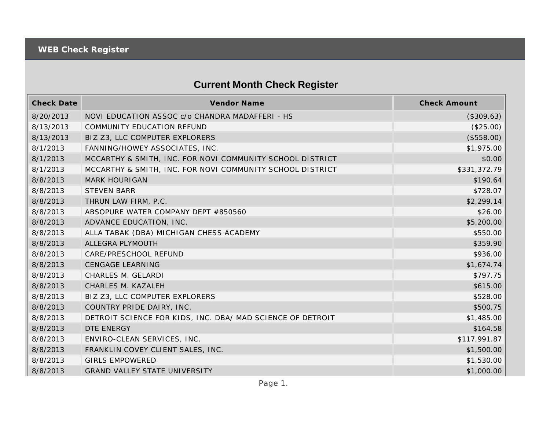## **Current Month Check Register**

| <b>Check Date</b> | Vendor Name                                                | <b>Check Amount</b> |
|-------------------|------------------------------------------------------------|---------------------|
| 8/20/2013         | NOVI EDUCATION ASSOC c/o CHANDRA MADAFFERI - HS            | (\$309.63)          |
| 8/13/2013         | COMMUNITY EDUCATION REFUND                                 | (\$25.00)           |
| 8/13/2013         | BIZ Z3, LLC COMPUTER EXPLORERS                             | (\$558.00)          |
| 8/1/2013          | FANNING/HOWEY ASSOCIATES, INC.                             | \$1,975.00          |
| 8/1/2013          | MCCARTHY & SMITH, INC. FOR NOVI COMMUNITY SCHOOL DISTRICT  | \$0.00              |
| 8/1/2013          | MCCARTHY & SMITH, INC. FOR NOVI COMMUNITY SCHOOL DISTRICT  | \$331,372.79        |
| 8/8/2013          | <b>MARK HOURIGAN</b>                                       | \$190.64            |
| 8/8/2013          | <b>STEVEN BARR</b>                                         | \$728.07            |
| 8/8/2013          | THRUN LAW FIRM, P.C.                                       | \$2,299.14          |
| 8/8/2013          | ABSOPURE WATER COMPANY DEPT #850560                        | \$26.00             |
| 8/8/2013          | ADVANCE EDUCATION, INC.                                    | \$5,200.00          |
| 8/8/2013          | ALLA TABAK (DBA) MICHIGAN CHESS ACADEMY                    | \$550.00            |
| 8/8/2013          | ALLEGRA PLYMOUTH                                           | \$359.90            |
| 8/8/2013          | CARE/PRESCHOOL REFUND                                      | \$936.00            |
| 8/8/2013          | <b>CENGAGE LEARNING</b>                                    | \$1,674.74          |
| 8/8/2013          | CHARLES M. GELARDI                                         | \$797.75            |
| 8/8/2013          | CHARLES M. KAZALEH                                         | \$615.00            |
| 8/8/2013          | BIZ Z3, LLC COMPUTER EXPLORERS                             | \$528.00            |
| 8/8/2013          | COUNTRY PRIDE DAIRY, INC.                                  | \$500.75            |
| 8/8/2013          | DETROIT SCIENCE FOR KIDS, INC. DBA/ MAD SCIENCE OF DETROIT | \$1,485.00          |
| 8/8/2013          | <b>DTE ENERGY</b>                                          | \$164.58            |
| 8/8/2013          | ENVIRO-CLEAN SERVICES, INC.                                | \$117,991.87        |
| 8/8/2013          | FRANKLIN COVEY CLIENT SALES, INC.                          | \$1,500.00          |
| 8/8/2013          | <b>GIRLS EMPOWERED</b>                                     | \$1,530.00          |
| 8/8/2013          | <b>GRAND VALLEY STATE UNIVERSITY</b>                       | \$1,000.00          |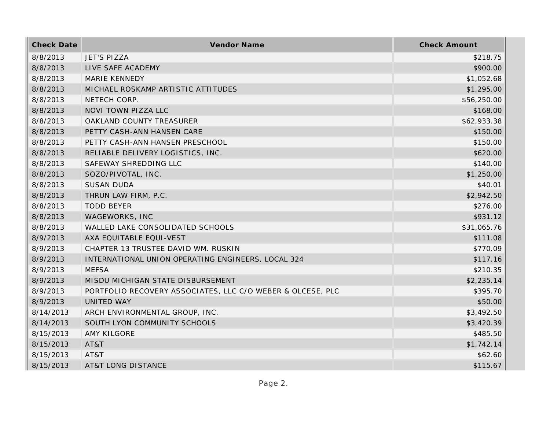| <b>Check Date</b> | Vendor Name                                                | <b>Check Amount</b> |
|-------------------|------------------------------------------------------------|---------------------|
| 8/8/2013          | <b>JET'S PIZZA</b>                                         | \$218.75            |
| 8/8/2013          | LIVE SAFE ACADEMY                                          | \$900.00            |
| 8/8/2013          | <b>MARIE KENNEDY</b>                                       | \$1,052.68          |
| 8/8/2013          | MICHAEL ROSKAMP ARTISTIC ATTITUDES                         | \$1,295.00          |
| 8/8/2013          | NETECH CORP.                                               | \$56,250.00         |
| 8/8/2013          | NOVI TOWN PIZZA LLC                                        | \$168.00            |
| 8/8/2013          | OAKLAND COUNTY TREASURER                                   | \$62,933.38         |
| 8/8/2013          | PETTY CASH-ANN HANSEN CARE                                 | \$150.00            |
| 8/8/2013          | PETTY CASH-ANN HANSEN PRESCHOOL                            | \$150.00            |
| 8/8/2013          | RELIABLE DELIVERY LOGISTICS, INC.                          | \$620.00            |
| 8/8/2013          | SAFEWAY SHREDDING LLC                                      | \$140.00            |
| 8/8/2013          | SOZO/PIVOTAL, INC.                                         | \$1,250.00          |
| 8/8/2013          | <b>SUSAN DUDA</b>                                          | \$40.01             |
| 8/8/2013          | THRUN LAW FIRM, P.C.                                       | \$2,942.50          |
| 8/8/2013          | <b>TODD BEYER</b>                                          | \$276.00            |
| 8/8/2013          | WAGEWORKS, INC                                             | \$931.12            |
| 8/8/2013          | WALLED LAKE CONSOLIDATED SCHOOLS                           | \$31,065.76         |
| 8/9/2013          | AXA EQUITABLE EQUI-VEST                                    | \$111.08            |
| 8/9/2013          | CHAPTER 13 TRUSTEE DAVID WM. RUSKIN                        | \$770.09            |
| 8/9/2013          | INTERNATIONAL UNION OPERATING ENGINEERS, LOCAL 324         | \$117.16            |
| 8/9/2013          | <b>MEFSA</b>                                               | \$210.35            |
| 8/9/2013          | MISDU MICHIGAN STATE DISBURSEMENT                          | \$2,235.14          |
| 8/9/2013          | PORTFOLIO RECOVERY ASSOCIATES, LLC C/O WEBER & OLCESE, PLC | \$395.70            |
| 8/9/2013          | UNITED WAY                                                 | \$50.00             |
| 8/14/2013         | ARCH ENVIRONMENTAL GROUP, INC.                             | \$3,492.50          |
| 8/14/2013         | SOUTH LYON COMMUNITY SCHOOLS                               | \$3,420.39          |
| 8/15/2013         | <b>AMY KILGORE</b>                                         | \$485.50            |
| 8/15/2013         | AT&T                                                       | \$1,742.14          |
| 8/15/2013         | AT&T                                                       | \$62.60             |
| 8/15/2013         | <b>AT&amp;T LONG DISTANCE</b>                              | \$115.67            |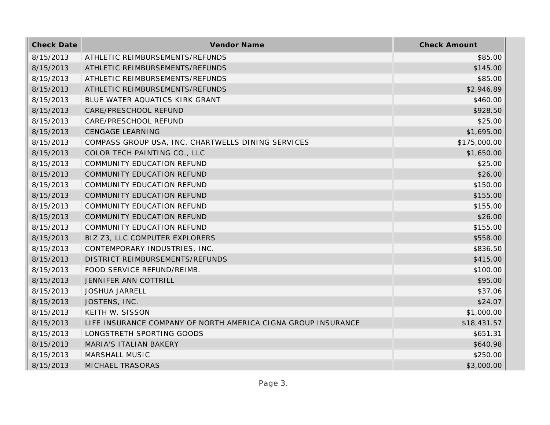| <b>Check Date</b> | Vendor Name                                                   | <b>Check Amount</b> |
|-------------------|---------------------------------------------------------------|---------------------|
| 8/15/2013         | ATHLETIC REIMBURSEMENTS/REFUNDS                               | \$85.00             |
| 8/15/2013         | ATHLETIC REIMBURSEMENTS/REFUNDS                               | \$145.00            |
| 8/15/2013         | ATHLETIC REIMBURSEMENTS/REFUNDS                               | \$85.00             |
| 8/15/2013         | ATHLETIC REIMBURSEMENTS/REFUNDS                               | \$2,946.89          |
| 8/15/2013         | BLUE WATER AQUATICS KIRK GRANT                                | \$460.00            |
| 8/15/2013         | CARE/PRESCHOOL REFUND                                         | \$928.50            |
| 8/15/2013         | CARE/PRESCHOOL REFUND                                         | \$25.00             |
| 8/15/2013         | <b>CENGAGE LEARNING</b>                                       | \$1,695.00          |
| 8/15/2013         | COMPASS GROUP USA, INC. CHARTWELLS DINING SERVICES            | \$175,000.00        |
| 8/15/2013         | COLOR TECH PAINTING CO., LLC                                  | \$1,650.00          |
| 8/15/2013         | COMMUNITY EDUCATION REFUND                                    | \$25.00             |
| 8/15/2013         | COMMUNITY EDUCATION REFUND                                    | \$26.00             |
| 8/15/2013         | COMMUNITY EDUCATION REFUND                                    | \$150.00            |
| 8/15/2013         | COMMUNITY EDUCATION REFUND                                    | \$155.00            |
| 8/15/2013         | <b>COMMUNITY EDUCATION REFUND</b>                             | \$155.00            |
| 8/15/2013         | COMMUNITY EDUCATION REFUND                                    | \$26.00             |
| 8/15/2013         | COMMUNITY EDUCATION REFUND                                    | \$155.00            |
| 8/15/2013         | BIZ Z3, LLC COMPUTER EXPLORERS                                | \$558.00            |
| 8/15/2013         | CONTEMPORARY INDUSTRIES, INC.                                 | \$836.50            |
| 8/15/2013         | DISTRICT REIMBURSEMENTS/REFUNDS                               | \$415.00            |
| 8/15/2013         | FOOD SERVICE REFUND/REIMB.                                    | \$100.00            |
| 8/15/2013         | JENNIFER ANN COTTRILL                                         | \$95.00             |
| 8/15/2013         | <b>JOSHUA JARRELL</b>                                         | \$37.06             |
| 8/15/2013         | JOSTENS, INC.                                                 | \$24.07             |
| 8/15/2013         | KEITH W. SISSON                                               | \$1,000.00          |
| 8/15/2013         | LIFE INSURANCE COMPANY OF NORTH AMERICA CIGNA GROUP INSURANCE | \$18,431.57         |
| 8/15/2013         | LONGSTRETH SPORTING GOODS                                     | \$651.31            |
| 8/15/2013         | <b>MARIA'S ITALIAN BAKERY</b>                                 | \$640.98            |
| 8/15/2013         | MARSHALL MUSIC                                                | \$250.00            |
| 8/15/2013         | <b>MICHAEL TRASORAS</b>                                       | \$3,000.00          |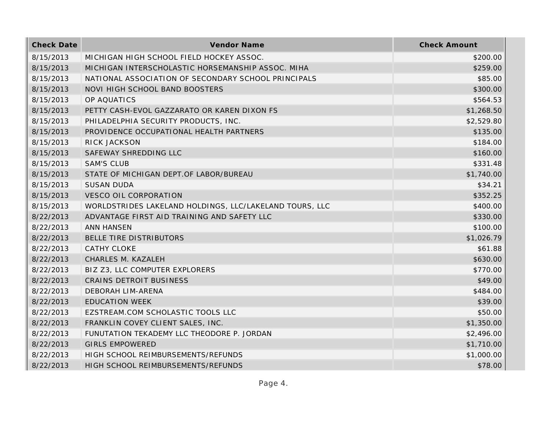| <b>Check Date</b> | Vendor Name                                             | <b>Check Amount</b> |
|-------------------|---------------------------------------------------------|---------------------|
| 8/15/2013         | MICHIGAN HIGH SCHOOL FIELD HOCKEY ASSOC.                | \$200.00            |
| 8/15/2013         | MICHIGAN INTERSCHOLASTIC HORSEMANSHIP ASSOC. MIHA       | \$259.00            |
| 8/15/2013         | NATIONAL ASSOCIATION OF SECONDARY SCHOOL PRINCIPALS     | \$85.00             |
| 8/15/2013         | NOVI HIGH SCHOOL BAND BOOSTERS                          | \$300.00            |
| 8/15/2013         | OP AQUATICS                                             | \$564.53            |
| 8/15/2013         | PETTY CASH-EVOL GAZZARATO OR KAREN DIXON FS             | \$1,268.50          |
| 8/15/2013         | PHILADELPHIA SECURITY PRODUCTS, INC.                    | \$2,529.80          |
| 8/15/2013         | PROVIDENCE OCCUPATIONAL HEALTH PARTNERS                 | \$135.00            |
| 8/15/2013         | RICK JACKSON                                            | \$184.00            |
| 8/15/2013         | SAFEWAY SHREDDING LLC                                   | \$160.00            |
| 8/15/2013         | <b>SAM'S CLUB</b>                                       | \$331.48            |
| 8/15/2013         | STATE OF MICHIGAN DEPT.OF LABOR/BUREAU                  | \$1,740.00          |
| 8/15/2013         | <b>SUSAN DUDA</b>                                       | \$34.21             |
| 8/15/2013         | <b>VESCO OIL CORPORATION</b>                            | \$352.25            |
| 8/15/2013         | WORLDSTRIDES LAKELAND HOLDINGS, LLC/LAKELAND TOURS, LLC | \$400.00            |
| 8/22/2013         | ADVANTAGE FIRST AID TRAINING AND SAFETY LLC             | \$330.00            |
| 8/22/2013         | <b>ANN HANSEN</b>                                       | \$100.00            |
| 8/22/2013         | BELLE TIRE DISTRIBUTORS                                 | \$1,026.79          |
| 8/22/2013         | <b>CATHY CLOKE</b>                                      | \$61.88             |
| 8/22/2013         | CHARLES M. KAZALEH                                      | \$630.00            |
| 8/22/2013         | BIZ Z3, LLC COMPUTER EXPLORERS                          | \$770.00            |
| 8/22/2013         | <b>CRAINS DETROIT BUSINESS</b>                          | \$49.00             |
| 8/22/2013         | DEBORAH LIM-ARENA                                       | \$484.00            |
| 8/22/2013         | <b>EDUCATION WEEK</b>                                   | \$39.00             |
| 8/22/2013         | EZSTREAM.COM SCHOLASTIC TOOLS LLC                       | \$50.00             |
| 8/22/2013         | FRANKLIN COVEY CLIENT SALES, INC.                       | \$1,350.00          |
| 8/22/2013         | FUNUTATION TEKADEMY LLC THEODORE P. JORDAN              | \$2,496.00          |
| 8/22/2013         | <b>GIRLS EMPOWERED</b>                                  | \$1,710.00          |
| 8/22/2013         | HIGH SCHOOL REIMBURSEMENTS/REFUNDS                      | \$1,000.00          |
| 8/22/2013         | HIGH SCHOOL REIMBURSEMENTS/REFUNDS                      | \$78.00             |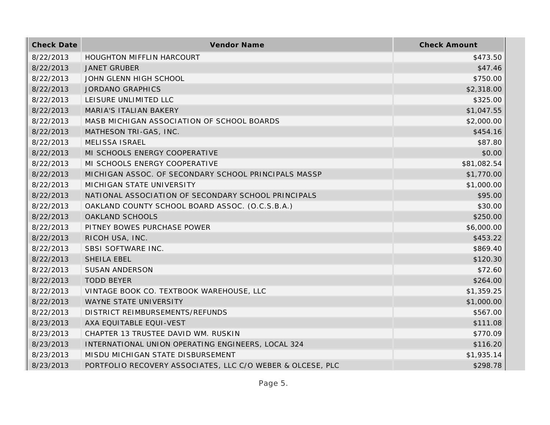| <b>Check Date</b> | Vendor Name                                                | <b>Check Amount</b> |
|-------------------|------------------------------------------------------------|---------------------|
| 8/22/2013         | HOUGHTON MIFFLIN HARCOURT                                  | \$473.50            |
| 8/22/2013         | <b>JANET GRUBER</b>                                        | \$47.46             |
| 8/22/2013         | JOHN GLENN HIGH SCHOOL                                     | \$750.00            |
| 8/22/2013         | <b>JORDANO GRAPHICS</b>                                    | \$2,318.00          |
| 8/22/2013         | LEISURE UNLIMITED LLC                                      | \$325.00            |
| 8/22/2013         | MARIA'S ITALIAN BAKERY                                     | \$1,047.55          |
| 8/22/2013         | MASB MICHIGAN ASSOCIATION OF SCHOOL BOARDS                 | \$2,000.00          |
| 8/22/2013         | MATHESON TRI-GAS, INC.                                     | \$454.16            |
| 8/22/2013         | <b>MELISSA ISRAEL</b>                                      | \$87.80             |
| 8/22/2013         | MI SCHOOLS ENERGY COOPERATIVE                              | \$0.00              |
| 8/22/2013         | MI SCHOOLS ENERGY COOPERATIVE                              | \$81,082.54         |
| 8/22/2013         | MICHIGAN ASSOC. OF SECONDARY SCHOOL PRINCIPALS MASSP       | \$1,770.00          |
| 8/22/2013         | MICHIGAN STATE UNIVERSITY                                  | \$1,000.00          |
| 8/22/2013         | NATIONAL ASSOCIATION OF SECONDARY SCHOOL PRINCIPALS        | \$95.00             |
| 8/22/2013         | OAKLAND COUNTY SCHOOL BOARD ASSOC. (O.C.S.B.A.)            | \$30.00             |
| 8/22/2013         | OAKLAND SCHOOLS                                            | \$250.00            |
| 8/22/2013         | PITNEY BOWES PURCHASE POWER                                | \$6,000.00          |
| 8/22/2013         | RICOH USA, INC.                                            | \$453.22            |
| 8/22/2013         | SBSI SOFTWARE INC.                                         | \$869.40            |
| 8/22/2013         | SHEILA EBEL                                                | \$120.30            |
| 8/22/2013         | <b>SUSAN ANDERSON</b>                                      | \$72.60             |
| 8/22/2013         | <b>TODD BEYER</b>                                          | \$264.00            |
| 8/22/2013         | VINTAGE BOOK CO. TEXTBOOK WAREHOUSE, LLC                   | \$1,359.25          |
| 8/22/2013         | WAYNE STATE UNIVERSITY                                     | \$1,000.00          |
| 8/22/2013         | DISTRICT REIMBURSEMENTS/REFUNDS                            | \$567.00            |
| 8/23/2013         | AXA EQUITABLE EQUI-VEST                                    | \$111.08            |
| 8/23/2013         | CHAPTER 13 TRUSTEE DAVID WM. RUSKIN                        | \$770.09            |
| 8/23/2013         | INTERNATIONAL UNION OPERATING ENGINEERS, LOCAL 324         | \$116.20            |
| 8/23/2013         | MISDU MICHIGAN STATE DISBURSEMENT                          | \$1,935.14          |
| 8/23/2013         | PORTFOLIO RECOVERY ASSOCIATES, LLC C/O WEBER & OLCESE, PLC | \$298.78            |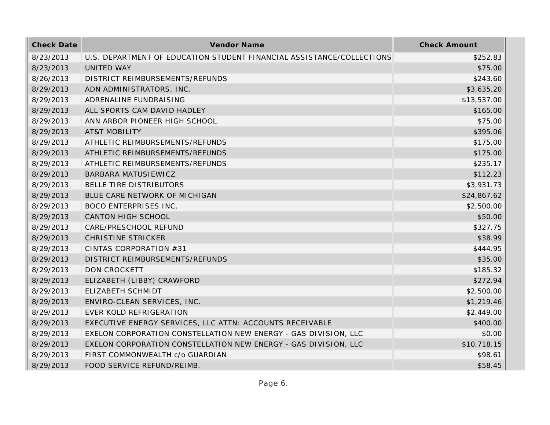| <b>Check Date</b> | Vendor Name                                                           | <b>Check Amount</b> |
|-------------------|-----------------------------------------------------------------------|---------------------|
| 8/23/2013         | U.S. DEPARTMENT OF EDUCATION STUDENT FINANCIAL ASSISTANCE/COLLECTIONS | \$252.83            |
| 8/23/2013         | <b>UNITED WAY</b>                                                     | \$75.00             |
| 8/26/2013         | DISTRICT REIMBURSEMENTS/REFUNDS                                       | \$243.60            |
| 8/29/2013         | ADN ADMINISTRATORS, INC.                                              | \$3,635.20          |
| 8/29/2013         | ADRENALINE FUNDRAISING                                                | \$13,537.00         |
| 8/29/2013         | ALL SPORTS CAM DAVID HADLEY                                           | \$165.00            |
| 8/29/2013         | ANN ARBOR PIONEER HIGH SCHOOL                                         | \$75.00             |
| 8/29/2013         | <b>AT&amp;T MOBILITY</b>                                              | \$395.06            |
| 8/29/2013         | ATHLETIC REIMBURSEMENTS/REFUNDS                                       | \$175.00            |
| 8/29/2013         | ATHLETIC REIMBURSEMENTS/REFUNDS                                       | \$175.00            |
| 8/29/2013         | ATHLETIC REIMBURSEMENTS/REFUNDS                                       | \$235.17            |
| 8/29/2013         | BARBARA MATUSIEWICZ                                                   | \$112.23            |
| 8/29/2013         | BELLE TIRE DISTRIBUTORS                                               | \$3,931.73          |
| 8/29/2013         | BLUE CARE NETWORK OF MICHIGAN                                         | \$24,867.62         |
| 8/29/2013         | <b>BOCO ENTERPRISES INC.</b>                                          | \$2,500.00          |
| 8/29/2013         | CANTON HIGH SCHOOL                                                    | \$50.00             |
| 8/29/2013         | CARE/PRESCHOOL REFUND                                                 | \$327.75            |
| 8/29/2013         | <b>CHRISTINE STRICKER</b>                                             | \$38.99             |
| 8/29/2013         | CINTAS CORPORATION #31                                                | \$444.95            |
| 8/29/2013         | DISTRICT REIMBURSEMENTS/REFUNDS                                       | \$35.00             |
| 8/29/2013         | <b>DON CROCKETT</b>                                                   | \$185.32            |
| 8/29/2013         | ELIZABETH (LIBBY) CRAWFORD                                            | \$272.94            |
| 8/29/2013         | ELIZABETH SCHMIDT                                                     | \$2,500.00          |
| 8/29/2013         | ENVIRO-CLEAN SERVICES, INC.                                           | \$1,219.46          |
| 8/29/2013         | EVER KOLD REFRIGERATION                                               | \$2,449.00          |
| 8/29/2013         | EXECUTIVE ENERGY SERVICES, LLC ATTN: ACCOUNTS RECEIVABLE              | \$400.00            |
| 8/29/2013         | EXELON CORPORATION CONSTELLATION NEW ENERGY - GAS DIVISION, LLC       | \$0.00              |
| 8/29/2013         | EXELON CORPORATION CONSTELLATION NEW ENERGY - GAS DIVISION, LLC       | \$10,718.15         |
| 8/29/2013         | FIRST COMMONWEALTH c/o GUARDIAN                                       | \$98.61             |
| 8/29/2013         | FOOD SERVICE REFUND/REIMB.                                            | \$58.45             |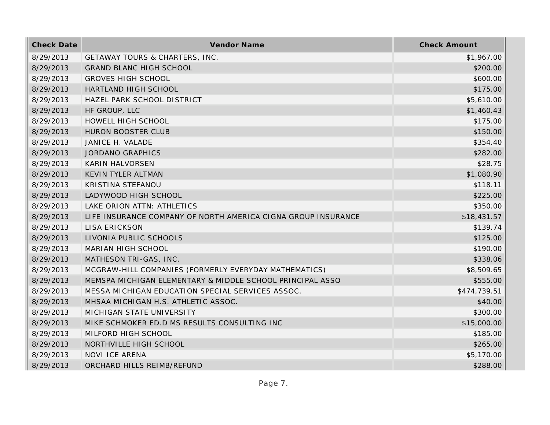| <b>Check Date</b> | Vendor Name                                                   | <b>Check Amount</b> |
|-------------------|---------------------------------------------------------------|---------------------|
| 8/29/2013         | <b>GETAWAY TOURS &amp; CHARTERS, INC.</b>                     | \$1,967.00          |
| 8/29/2013         | <b>GRAND BLANC HIGH SCHOOL</b>                                | \$200.00            |
| 8/29/2013         | <b>GROVES HIGH SCHOOL</b>                                     | \$600.00            |
| 8/29/2013         | HARTLAND HIGH SCHOOL                                          | \$175.00            |
| 8/29/2013         | HAZEL PARK SCHOOL DISTRICT                                    | \$5,610.00          |
| 8/29/2013         | HF GROUP, LLC                                                 | \$1,460.43          |
| 8/29/2013         | HOWELL HIGH SCHOOL                                            | \$175.00            |
| 8/29/2013         | <b>HURON BOOSTER CLUB</b>                                     | \$150.00            |
| 8/29/2013         | JANICE H. VALADE                                              | \$354.40            |
| 8/29/2013         | <b>JORDANO GRAPHICS</b>                                       | \$282.00            |
| 8/29/2013         | <b>KARIN HALVORSEN</b>                                        | \$28.75             |
| 8/29/2013         | KEVIN TYLER ALTMAN                                            | \$1,080.90          |
| 8/29/2013         | KRISTINA STEFANOU                                             | \$118.11            |
| 8/29/2013         | LADYWOOD HIGH SCHOOL                                          | \$225.00            |
| 8/29/2013         | LAKE ORION ATTN: ATHLETICS                                    | \$350.00            |
| 8/29/2013         | LIFE INSURANCE COMPANY OF NORTH AMERICA CIGNA GROUP INSURANCE | \$18,431.57         |
| 8/29/2013         | <b>LISA ERICKSON</b>                                          | \$139.74            |
| 8/29/2013         | LIVONIA PUBLIC SCHOOLS                                        | \$125.00            |
| 8/29/2013         | MARIAN HIGH SCHOOL                                            | \$190.00            |
| 8/29/2013         | MATHESON TRI-GAS, INC.                                        | \$338.06            |
| 8/29/2013         | MCGRAW-HILL COMPANIES (FORMERLY EVERYDAY MATHEMATICS)         | \$8,509.65          |
| 8/29/2013         | MEMSPA MICHIGAN ELEMENTARY & MIDDLE SCHOOL PRINCIPAL ASSO     | \$555.00            |
| 8/29/2013         | MESSA MICHIGAN EDUCATION SPECIAL SERVICES ASSOC.              | \$474,739.51        |
| 8/29/2013         | MHSAA MICHIGAN H.S. ATHLETIC ASSOC.                           | \$40.00             |
| 8/29/2013         | MICHIGAN STATE UNIVERSITY                                     | \$300.00            |
| 8/29/2013         | MIKE SCHMOKER ED.D MS RESULTS CONSULTING INC                  | \$15,000.00         |
| 8/29/2013         | MILFORD HIGH SCHOOL                                           | \$185.00            |
| 8/29/2013         | NORTHVILLE HIGH SCHOOL                                        | \$265.00            |
| 8/29/2013         | NOVI ICE ARENA                                                | \$5,170.00          |
| 8/29/2013         | ORCHARD HILLS REIMB/REFUND                                    | \$288.00            |